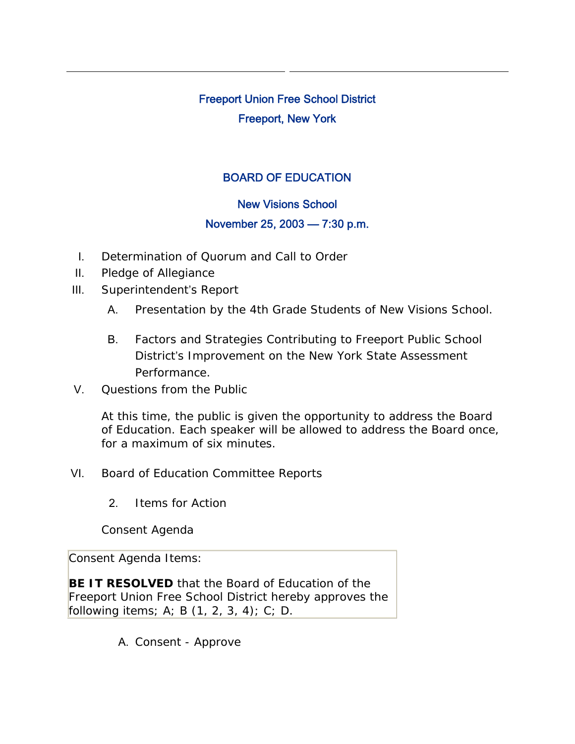# Freeport Union Free School District Freeport, New York

## BOARD OF EDUCATION

## New Visions School

## November 25, 2003 — 7:30 p.m.

- I. Determination of Quorum and Call to Order
- II. Pledge of Allegiance
- III. Superintendent's Report
	- A. Presentation by the 4th Grade Students of New Visions School.
	- B. Factors and Strategies Contributing to Freeport Public School District's Improvement on the New York State Assessment Performance.
- V. Questions from the Public

At this time, the public is given the opportunity to address the Board of Education. Each speaker will be allowed to address the Board once, for a maximum of six minutes.

- VI. Board of Education Committee Reports
	- 2. Items for Action

Consent Agenda

Consent Agenda Items:

**BE IT RESOLVED** that the Board of Education of the Freeport Union Free School District hereby approves the following items; A; B  $(1, 2, 3, 4)$ ; C; D.

A. Consent - Approve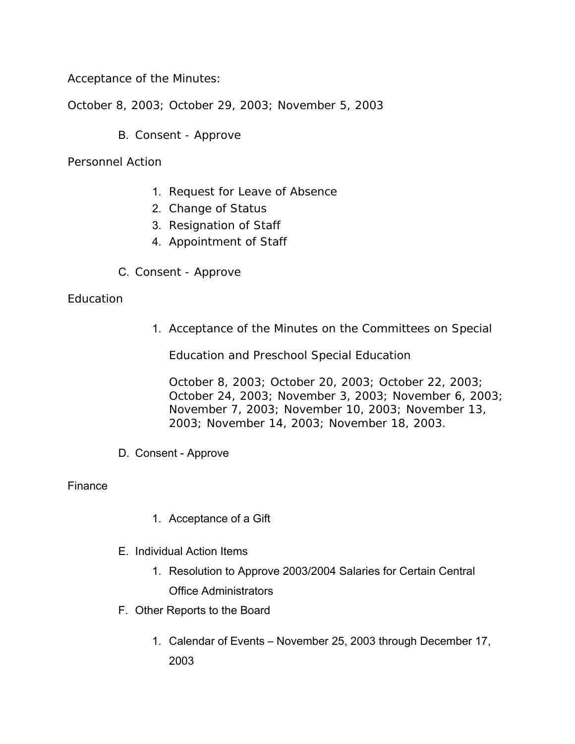Acceptance of the Minutes:

October 8, 2003; October 29, 2003; November 5, 2003

B. Consent - Approve

Personnel Action

- 1. Request for Leave of Absence
- 2. Change of Status
- 3. Resignation of Staff
- 4. Appointment of Staff
- C. Consent Approve

### **Education**

1. Acceptance of the Minutes on the Committees on Special

Education and Preschool Special Education

October 8, 2003; October 20, 2003; October 22, 2003; October 24, 2003; November 3, 2003; November 6, 2003; November 7, 2003; November 10, 2003; November 13, 2003; November 14, 2003; November 18, 2003.

D. Consent - Approve

### Finance

- 1. Acceptance of a Gift
- E. Individual Action Items
	- 1. Resolution to Approve 2003/2004 Salaries for Certain Central Office Administrators
- F. Other Reports to the Board
	- 1. Calendar of Events November 25, 2003 through December 17, 2003